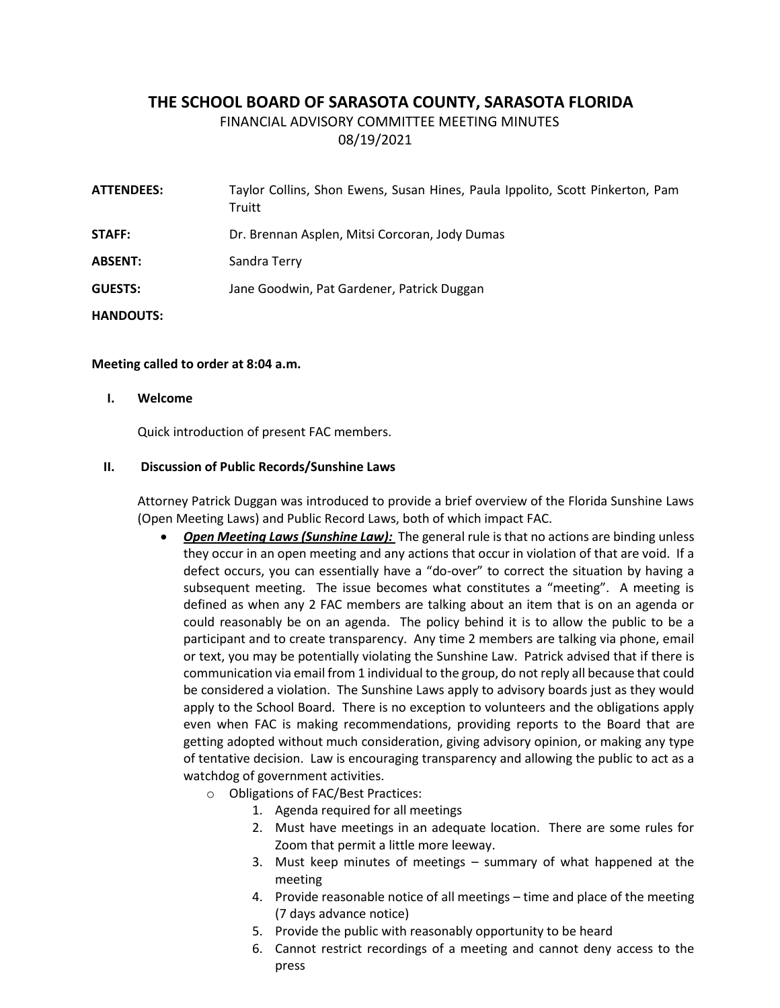# **THE SCHOOL BOARD OF SARASOTA COUNTY, SARASOTA FLORIDA**

FINANCIAL ADVISORY COMMITTEE MEETING MINUTES

08/19/2021

**ATTENDEES:** Taylor Collins, Shon Ewens, Susan Hines, Paula Ippolito, Scott Pinkerton, Pam **Truitt STAFF:** Dr. Brennan Asplen, Mitsi Corcoran, Jody Dumas **ABSENT:** Sandra Terry **GUESTS:** Jane Goodwin, Pat Gardener, Patrick Duggan **HANDOUTS:**

### **Meeting called to order at 8:04 a.m.**

**I. Welcome**

Quick introduction of present FAC members.

#### **II. Discussion of Public Records/Sunshine Laws**

Attorney Patrick Duggan was introduced to provide a brief overview of the Florida Sunshine Laws (Open Meeting Laws) and Public Record Laws, both of which impact FAC.

- *Open Meeting Laws (Sunshine Law):* The general rule is that no actions are binding unless they occur in an open meeting and any actions that occur in violation of that are void. If a defect occurs, you can essentially have a "do-over" to correct the situation by having a subsequent meeting. The issue becomes what constitutes a "meeting". A meeting is defined as when any 2 FAC members are talking about an item that is on an agenda or could reasonably be on an agenda. The policy behind it is to allow the public to be a participant and to create transparency. Any time 2 members are talking via phone, email or text, you may be potentially violating the Sunshine Law. Patrick advised that if there is communication via email from 1 individual to the group, do not reply all because that could be considered a violation. The Sunshine Laws apply to advisory boards just as they would apply to the School Board. There is no exception to volunteers and the obligations apply even when FAC is making recommendations, providing reports to the Board that are getting adopted without much consideration, giving advisory opinion, or making any type of tentative decision. Law is encouraging transparency and allowing the public to act as a watchdog of government activities.
	- o Obligations of FAC/Best Practices:
		- 1. Agenda required for all meetings
		- 2. Must have meetings in an adequate location. There are some rules for Zoom that permit a little more leeway.
		- 3. Must keep minutes of meetings summary of what happened at the meeting
		- 4. Provide reasonable notice of all meetings time and place of the meeting (7 days advance notice)
		- 5. Provide the public with reasonably opportunity to be heard
		- 6. Cannot restrict recordings of a meeting and cannot deny access to the press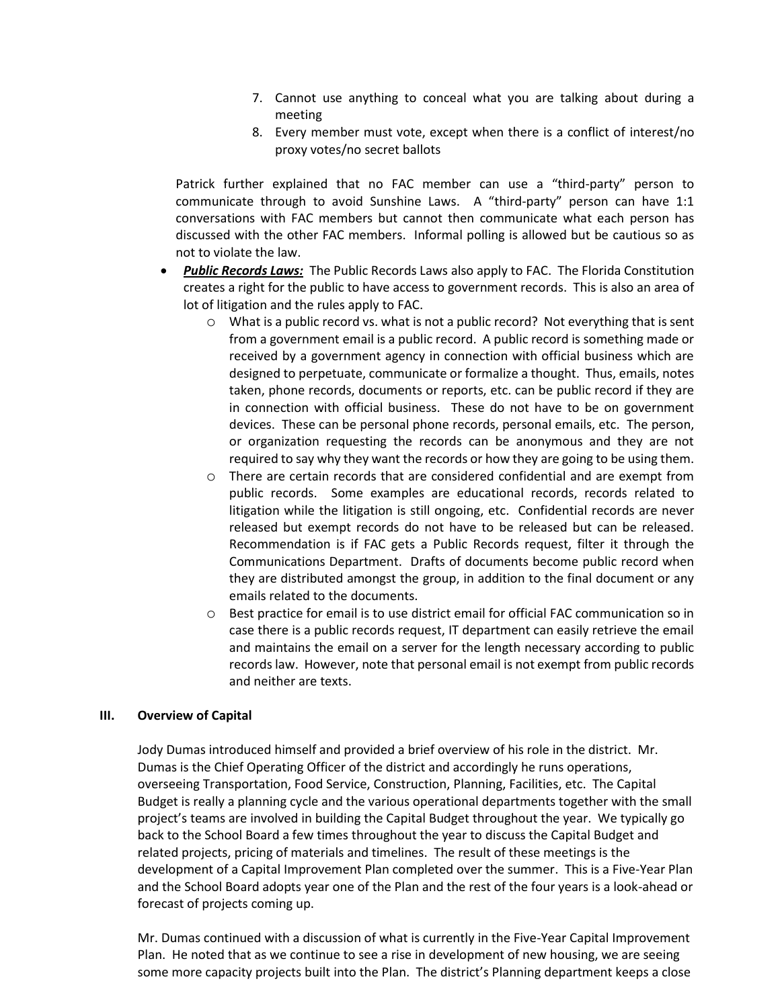- 7. Cannot use anything to conceal what you are talking about during a meeting
- 8. Every member must vote, except when there is a conflict of interest/no proxy votes/no secret ballots

Patrick further explained that no FAC member can use a "third-party" person to communicate through to avoid Sunshine Laws. A "third-party" person can have 1:1 conversations with FAC members but cannot then communicate what each person has discussed with the other FAC members. Informal polling is allowed but be cautious so as not to violate the law.

- *Public Records Laws:* The Public Records Laws also apply to FAC. The Florida Constitution creates a right for the public to have access to government records. This is also an area of lot of litigation and the rules apply to FAC.
	- o What is a public record vs. what is not a public record? Not everything that is sent from a government email is a public record. A public record is something made or received by a government agency in connection with official business which are designed to perpetuate, communicate or formalize a thought. Thus, emails, notes taken, phone records, documents or reports, etc. can be public record if they are in connection with official business. These do not have to be on government devices. These can be personal phone records, personal emails, etc. The person, or organization requesting the records can be anonymous and they are not required to say why they want the records or how they are going to be using them.
	- o There are certain records that are considered confidential and are exempt from public records. Some examples are educational records, records related to litigation while the litigation is still ongoing, etc. Confidential records are never released but exempt records do not have to be released but can be released. Recommendation is if FAC gets a Public Records request, filter it through the Communications Department. Drafts of documents become public record when they are distributed amongst the group, in addition to the final document or any emails related to the documents.
	- o Best practice for email is to use district email for official FAC communication so in case there is a public records request, IT department can easily retrieve the email and maintains the email on a server for the length necessary according to public records law. However, note that personal email is not exempt from public records and neither are texts.

#### **III. Overview of Capital**

Jody Dumas introduced himself and provided a brief overview of his role in the district. Mr. Dumas is the Chief Operating Officer of the district and accordingly he runs operations, overseeing Transportation, Food Service, Construction, Planning, Facilities, etc. The Capital Budget is really a planning cycle and the various operational departments together with the small project's teams are involved in building the Capital Budget throughout the year. We typically go back to the School Board a few times throughout the year to discuss the Capital Budget and related projects, pricing of materials and timelines. The result of these meetings is the development of a Capital Improvement Plan completed over the summer. This is a Five-Year Plan and the School Board adopts year one of the Plan and the rest of the four years is a look-ahead or forecast of projects coming up.

Mr. Dumas continued with a discussion of what is currently in the Five-Year Capital Improvement Plan. He noted that as we continue to see a rise in development of new housing, we are seeing some more capacity projects built into the Plan. The district's Planning department keeps a close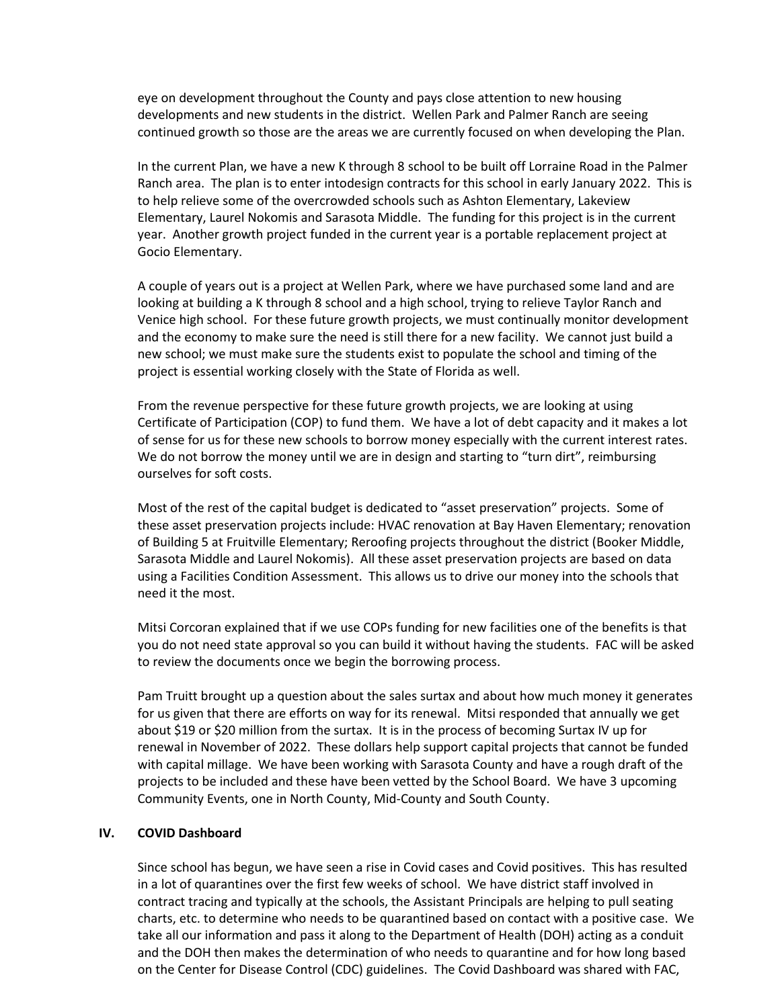eye on development throughout the County and pays close attention to new housing developments and new students in the district. Wellen Park and Palmer Ranch are seeing continued growth so those are the areas we are currently focused on when developing the Plan.

In the current Plan, we have a new K through 8 school to be built off Lorraine Road in the Palmer Ranch area. The plan is to enter intodesign contracts for this school in early January 2022. This is to help relieve some of the overcrowded schools such as Ashton Elementary, Lakeview Elementary, Laurel Nokomis and Sarasota Middle. The funding for this project is in the current year. Another growth project funded in the current year is a portable replacement project at Gocio Elementary.

A couple of years out is a project at Wellen Park, where we have purchased some land and are looking at building a K through 8 school and a high school, trying to relieve Taylor Ranch and Venice high school. For these future growth projects, we must continually monitor development and the economy to make sure the need is still there for a new facility. We cannot just build a new school; we must make sure the students exist to populate the school and timing of the project is essential working closely with the State of Florida as well.

From the revenue perspective for these future growth projects, we are looking at using Certificate of Participation (COP) to fund them. We have a lot of debt capacity and it makes a lot of sense for us for these new schools to borrow money especially with the current interest rates. We do not borrow the money until we are in design and starting to "turn dirt", reimbursing ourselves for soft costs.

Most of the rest of the capital budget is dedicated to "asset preservation" projects. Some of these asset preservation projects include: HVAC renovation at Bay Haven Elementary; renovation of Building 5 at Fruitville Elementary; Reroofing projects throughout the district (Booker Middle, Sarasota Middle and Laurel Nokomis). All these asset preservation projects are based on data using a Facilities Condition Assessment. This allows us to drive our money into the schools that need it the most.

Mitsi Corcoran explained that if we use COPs funding for new facilities one of the benefits is that you do not need state approval so you can build it without having the students. FAC will be asked to review the documents once we begin the borrowing process.

Pam Truitt brought up a question about the sales surtax and about how much money it generates for us given that there are efforts on way for its renewal. Mitsi responded that annually we get about \$19 or \$20 million from the surtax. It is in the process of becoming Surtax IV up for renewal in November of 2022. These dollars help support capital projects that cannot be funded with capital millage. We have been working with Sarasota County and have a rough draft of the projects to be included and these have been vetted by the School Board. We have 3 upcoming Community Events, one in North County, Mid-County and South County.

## **IV. COVID Dashboard**

Since school has begun, we have seen a rise in Covid cases and Covid positives. This has resulted in a lot of quarantines over the first few weeks of school. We have district staff involved in contract tracing and typically at the schools, the Assistant Principals are helping to pull seating charts, etc. to determine who needs to be quarantined based on contact with a positive case. We take all our information and pass it along to the Department of Health (DOH) acting as a conduit and the DOH then makes the determination of who needs to quarantine and for how long based on the Center for Disease Control (CDC) guidelines. The Covid Dashboard was shared with FAC,